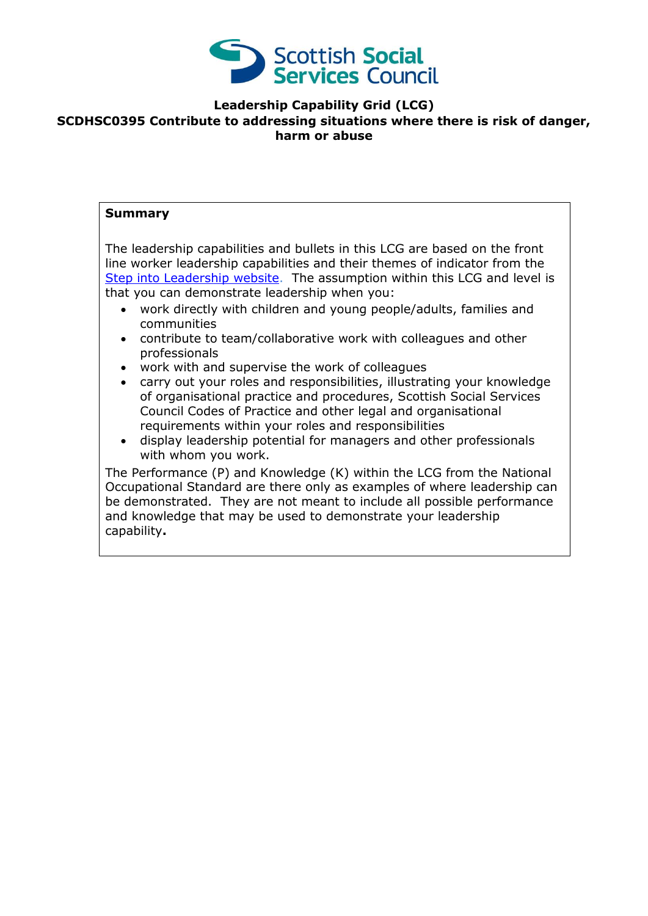

### **Leadership Capability Grid (LCG)**

### **SCDHSC0395 Contribute to addressing situations where there is risk of danger, harm or abuse**

### **Summary**

The leadership capabilities and bullets in this LCG are based on the front line worker leadership capabilities and their themes of indicator from the [Step into Leadership website.](http://www.stepintoleadership.info/) The assumption within this LCG and level is that you can demonstrate leadership when you:

- work directly with children and young people/adults, families and communities
- contribute to team/collaborative work with colleagues and other professionals
- work with and supervise the work of colleagues
- carry out your roles and responsibilities, illustrating your knowledge of organisational practice and procedures, Scottish Social Services Council Codes of Practice and other legal and organisational requirements within your roles and responsibilities
- display leadership potential for managers and other professionals with whom you work.

The Performance (P) and Knowledge (K) within the LCG from the National Occupational Standard are there only as examples of where leadership can be demonstrated. They are not meant to include all possible performance and knowledge that may be used to demonstrate your leadership capability**.**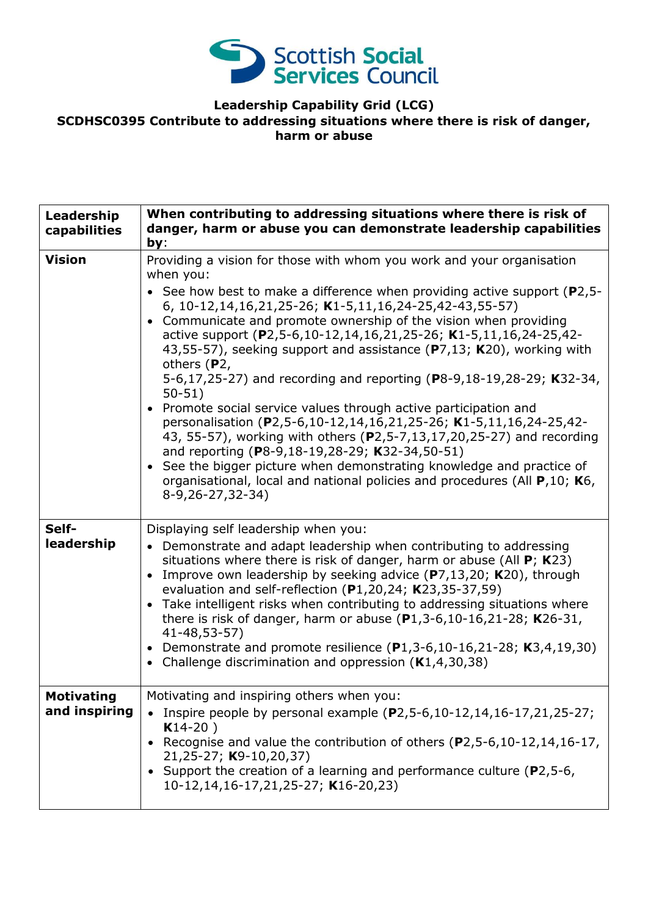

# **Leadership Capability Grid (LCG)**

### **SCDHSC0395 Contribute to addressing situations where there is risk of danger, harm or abuse**

| Leadership<br>capabilities         | When contributing to addressing situations where there is risk of<br>danger, harm or abuse you can demonstrate leadership capabilities<br>by:                                                                                                                                                                                                                                                                                                                                                                                                                                                                                                                                                                                                                                                                                                                                                                                                                                                                                 |
|------------------------------------|-------------------------------------------------------------------------------------------------------------------------------------------------------------------------------------------------------------------------------------------------------------------------------------------------------------------------------------------------------------------------------------------------------------------------------------------------------------------------------------------------------------------------------------------------------------------------------------------------------------------------------------------------------------------------------------------------------------------------------------------------------------------------------------------------------------------------------------------------------------------------------------------------------------------------------------------------------------------------------------------------------------------------------|
| <b>Vision</b>                      | Providing a vision for those with whom you work and your organisation<br>when you:<br>• See how best to make a difference when providing active support ( $P2,5$ -<br>6, 10-12, 14, 16, 21, 25-26; K1-5, 11, 16, 24-25, 42-43, 55-57)<br>Communicate and promote ownership of the vision when providing<br>active support (P2,5-6,10-12,14,16,21,25-26; K1-5,11,16,24-25,42-<br>43,55-57), seeking support and assistance (P7,13; K20), working with<br>others (P2,<br>5-6,17,25-27) and recording and reporting (P8-9,18-19,28-29; K32-34,<br>$50 - 51$<br>Promote social service values through active participation and<br>$\bullet$<br>personalisation (P2,5-6,10-12,14,16,21,25-26; K1-5,11,16,24-25,42-<br>43, 55-57), working with others (P2,5-7,13,17,20,25-27) and recording<br>and reporting (P8-9,18-19,28-29; K32-34,50-51)<br>See the bigger picture when demonstrating knowledge and practice of<br>$\bullet$<br>organisational, local and national policies and procedures (All P,10; K6,<br>8-9,26-27,32-34) |
| Self-<br>leadership                | Displaying self leadership when you:<br>• Demonstrate and adapt leadership when contributing to addressing<br>situations where there is risk of danger, harm or abuse (All $P$ ; K23)<br>Improve own leadership by seeking advice $(P7, 13, 20; K20)$ , through<br>evaluation and self-reflection (P1,20,24; K23,35-37,59)<br>Take intelligent risks when contributing to addressing situations where<br>$\bullet$<br>there is risk of danger, harm or abuse $(P1, 3-6, 10-16, 21-28; K26-31,$<br>41-48,53-57)<br>Demonstrate and promote resilience $(P1, 3-6, 10-16, 21-28; K3, 4, 19, 30)$<br>Challenge discrimination and oppression $(K1, 4, 30, 38)$<br>$\bullet$                                                                                                                                                                                                                                                                                                                                                       |
| <b>Motivating</b><br>and inspiring | Motivating and inspiring others when you:<br>Inspire people by personal example (P2,5-6,10-12,14,16-17,21,25-27;<br>$K14-20$ )<br>Recognise and value the contribution of others (P2,5-6,10-12,14,16-17,<br>21,25-27; K9-10,20,37)<br>• Support the creation of a learning and performance culture ( $P2,5-6$ ,<br>10-12,14,16-17,21,25-27; K16-20,23)                                                                                                                                                                                                                                                                                                                                                                                                                                                                                                                                                                                                                                                                        |